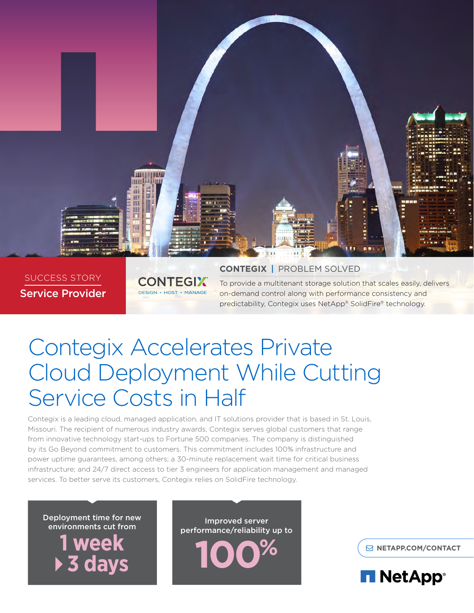

## SUCCESS STORY Service Provider

**CONTEGIX DESIGN • HOST • MANAGE** 

## **CONTEGIX** | PROBLEM SOLVED

To provide a multitenant storage solution that scales easily, delivers on-demand control along with performance consistency and predictability, Contegix uses NetApp® SolidFire® technology.

# Contegix Accelerates Private Cloud Deployment While Cutting Service Costs in Half

Contegix is a leading cloud, managed application, and IT solutions provider that is based in St. Louis, Missouri. The recipient of numerous industry awards, Contegix serves global customers that range from innovative technology start-ups to Fortune 500 companies. The company is distinguished by its Go Beyond commitment to customers. This commitment includes 100% infrastructure and power uptime guarantees, among others; a 30-minute replacement wait time for critical business infrastructure; and 24/7 direct access to tier 3 engineers for application management and managed services. To better serve its customers, Contegix relies on SolidFire technology.

Deployment time for new environments cut from **1 week 3 days**

Improved server performance/reliability up to **100%**

**[NETAPP.COM/CONTACT](http://www.netapp.com/us/contact-us/index.aspx)**

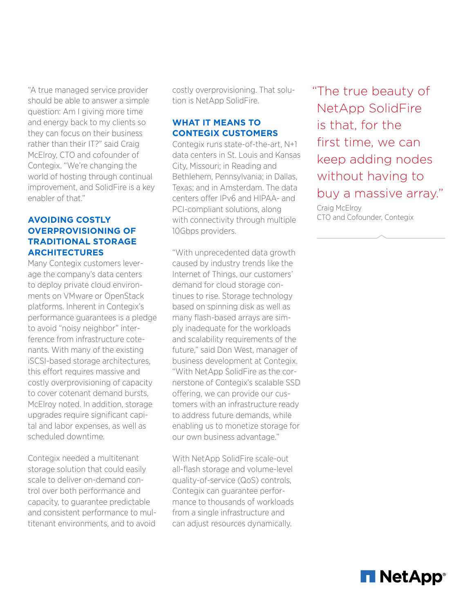"A true managed service provider should be able to answer a simple question: Am I giving more time and energy back to my clients so they can focus on their business rather than their IT?" said Craig McElroy, CTO and cofounder of Contegix. "We're changing the world of hosting through continual improvement, and SolidFire is a key enabler of that."

## **AVOIDING COSTLY OVERPROVISIONING OF TRADITIONAL STORAGE ARCHITECTURES**

Many Contegix customers leverage the company's data centers to deploy private cloud environments on VMware or OpenStack platforms. Inherent in Contegix's performance guarantees is a pledge to avoid "noisy neighbor" interference from infrastructure cotenants. With many of the existing iSCSI-based storage architectures, this effort requires massive and costly overprovisioning of capacity to cover cotenant demand bursts, McElroy noted. In addition, storage upgrades require significant capital and labor expenses, as well as scheduled downtime.

Contegix needed a multitenant storage solution that could easily scale to deliver on-demand control over both performance and capacity, to guarantee predictable and consistent performance to multitenant environments, and to avoid

costly overprovisioning. That solution is NetApp SolidFire.

## **WHAT IT MEANS TO CONTEGIX CUSTOMERS**

Contegix runs state-of-the-art, N+1 data centers in St. Louis and Kansas City, Missouri; in Reading and Bethlehem, Pennsylvania; in Dallas, Texas; and in Amsterdam. The data centers offer IPv6 and HIPAA- and PCI-compliant solutions, along with connectivity through multiple 10Gbps providers.

"With unprecedented data growth caused by industry trends like the Internet of Things, our customers' demand for cloud storage continues to rise. Storage technology based on spinning disk as well as many flash-based arrays are simply inadequate for the workloads and scalability requirements of the future," said Don West, manager of business development at Contegix. "With NetApp SolidFire as the cornerstone of Contegix's scalable SSD offering, we can provide our customers with an infrastructure ready to address future demands, while enabling us to monetize storage for our own business advantage."

With NetApp SolidFire scale-out all-flash storage and volume-level quality-of-service (QoS) controls, Contegix can guarantee performance to thousands of workloads from a single infrastructure and can adjust resources dynamically.

"The true beauty of NetApp SolidFire is that, for the first time, we can keep adding nodes without having to buy a massive array."

Craig McElroy CTO and Cofounder, Contegix

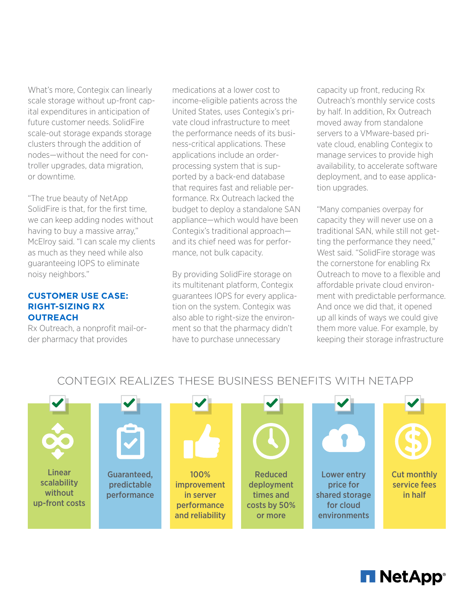What's more, Contegix can linearly scale storage without up-front capital expenditures in anticipation of future customer needs. SolidFire scale-out storage expands storage clusters through the addition of nodes—without the need for controller upgrades, data migration, or downtime.

"The true beauty of NetApp SolidFire is that, for the first time, we can keep adding nodes without having to buy a massive array," McElroy said. "I can scale my clients as much as they need while also guaranteeing IOPS to eliminate noisy neighbors."

## **CUSTOMER USE CASE: RIGHT-SIZING RX OUTREACH**

Rx Outreach, a nonprofit mail-order pharmacy that provides

medications at a lower cost to income-eligible patients across the United States, uses Contegix's private cloud infrastructure to meet the performance needs of its business-critical applications. These applications include an orderprocessing system that is supported by a back-end database that requires fast and reliable performance. Rx Outreach lacked the budget to deploy a standalone SAN appliance—which would have been Contegix's traditional approach and its chief need was for performance, not bulk capacity.

By providing SolidFire storage on its multitenant platform, Contegix guarantees IOPS for every application on the system. Contegix was also able to right-size the environment so that the pharmacy didn't have to purchase unnecessary

capacity up front, reducing Rx Outreach's monthly service costs by half. In addition, Rx Outreach moved away from standalone servers to a VMware-based private cloud, enabling Contegix to manage services to provide high availability, to accelerate software deployment, and to ease application upgrades.

"Many companies overpay for capacity they will never use on a traditional SAN, while still not getting the performance they need," West said. "SolidFire storage was the cornerstone for enabling Rx Outreach to move to a flexible and affordable private cloud environment with predictable performance. And once we did that, it opened up all kinds of ways we could give them more value. For example, by keeping their storage infrastructure

# CONTEGIX REALIZES THESE BUSINESS BENEFITS WITH NETAPP



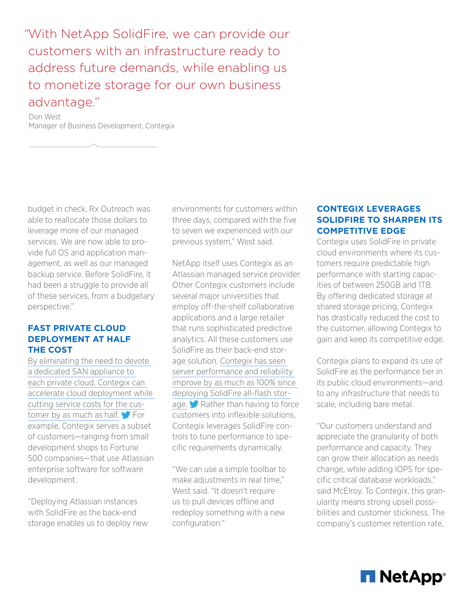"With NetApp SolidFire, we can provide our customers with an infrastructure ready to address future demands, while enabling us to monetize storage for our own business advantage."

Don West Manager of Business Development, Contegix

budget in check, Rx Outreach was able to reallocate those dollars to leverage more of our managed services. We are now able to provide full OS and application management, as well as our managed backup service. Before SolidFire, it had been a struggle to provide all of these services, from a budgetary perspective."

## **FAST PRIVATE CLOUD DEPLOYMENT AT HALF THE COST**

[By eliminating the need to devote](https://ctt.ec/CcFwU)  [a dedicated SAN appliance to](https://ctt.ec/CcFwU)  [each private cloud, Contegix can](https://ctt.ec/CcFwU)  [accelerate cloud deployment while](https://ctt.ec/CcFwU)  [cutting service costs for the cus](https://ctt.ec/CcFwU)[tomer by as much as half.](https://ctt.ec/CcFwU)  $\blacktriangleright$  For example, Contegix serves a subset of customers—ranging from small development shops to Fortune 500 companies—that use Atlassian enterprise software for software development.

"Deploying Atlassian instances with SolidFire as the back-end storage enables us to deploy new environments for customers within three days, compared with the five to seven we experienced with our previous system," West said.

NetApp itself uses Contegix as an Atlassian managed service provider. Other Contegix customers include several major universities that employ off-the-shelf collaborative applications and a large retailer that runs sophisticated predictive analytics. All these customers use SolidFire as their back-end storage solution. [Contegix has seen](https://ctt.ec/ifE44)  [server performance and reliability](https://ctt.ec/ifE44)  [improve by as much as 100% since](https://ctt.ec/ifE44)  [deploying SolidFire all-flash stor](https://ctt.ec/ifE44)[age.](https://ctt.ec/ifE44) Kather than having to force customers into inflexible solutions, Contegix leverages SolidFire controls to tune performance to specific requirements dynamically.

"We can use a simple toolbar to make adjustments in real time," West said. "It doesn't require us to pull devices offline and redeploy something with a new configuration."

## **CONTEGIX LEVERAGES SOLIDFIRE TO SHARPEN ITS COMPETITIVE EDGE**

Contegix uses SolidFire in private cloud environments where its customers require predictable high performance with starting capacities of between 250GB and 1TB. By offering dedicated storage at shared storage pricing, Contegix has drastically reduced the cost to the customer, allowing Contegix to gain and keep its competitive edge.

Contegix plans to expand its use of SolidFire as the performance tier in its public cloud environments—and to any infrastructure that needs to scale, including bare metal.

"Our customers understand and appreciate the granularity of both performance and capacity. They can grow their allocation as needs change, while adding IOPS for specific critical database workloads," said McElroy. To Contegix, this granularity means strong upsell possibilities and customer stickiness. The company's customer retention rate,